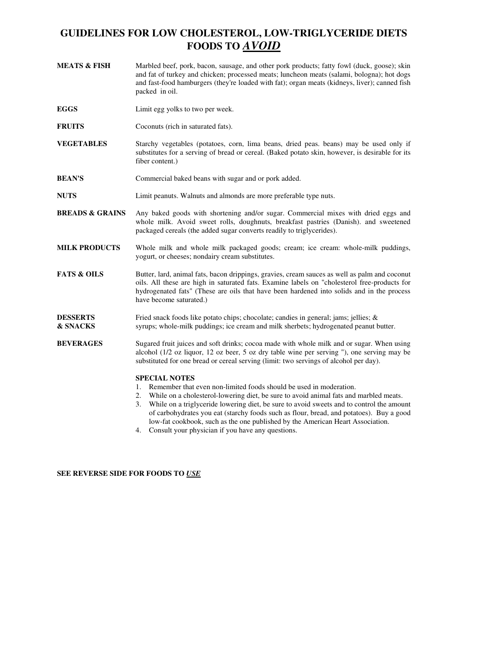# **GUIDELINES FOR LOW CHOLESTEROL, LOW-TRIGLYCERIDE DIETS FOODS TO** *AVOID*

- **MEATS & FISH** Marbled beef, pork, bacon, sausage, and other pork products; fatty fowl (duck, goose); skin and fat of turkey and chicken; processed meats; luncheon meats (salami, bologna); hot dogs and fast-food hamburgers (they're loaded with fat); organ meats (kidneys, liver); canned fish packed in oil.
- **EGGS** Limit egg yolks to two per week.
- **FRUITS** Coconuts (rich in saturated fats).
- **VEGETABLES** Starchy vegetables (potatoes, corn, lima beans, dried peas. beans) may be used only if substitutes for a serving of bread or cereal. (Baked potato skin, however, is desirable for its fiber content.)
- **BEAN'S** Commercial baked beans with sugar and or pork added.
- **NUTS** Limit peanuts. Walnuts and almonds are more preferable type nuts.
- **BREADS & GRAINS** Any baked goods with shortening and/or sugar. Commercial mixes with dried eggs and whole milk. Avoid sweet rolls, doughnuts, breakfast pastries (Danish). and sweetened packaged cereals (the added sugar converts readily to triglycerides).
- **MILK PRODUCTS** Whole milk and whole milk packaged goods; cream; ice cream: whole-milk puddings, yogurt, or cheeses; nondairy cream substitutes.
- **FATS & OILS** Butter, lard, animal fats, bacon drippings, gravies, cream sauces as well as palm and coconut oils. All these are high in saturated fats. Examine labels on "cholesterol free-products for hydrogenated fats" (These are oils that have been hardened into solids and in the process have become saturated.)
- **DESSERTS** Fried snack foods like potato chips; chocolate; candies in general; jams; jellies; & **& SNACKS** syrups; whole-milk puddings; ice cream and milk sherbets; hydrogenated peanut butter.
- **BEVERAGES** Sugared fruit juices and soft drinks; cocoa made with whole milk and or sugar. When using alcohol (1/2 oz liquor, 12 oz beer, 5 oz dry table wine per serving "), one serving may be substituted for one bread or cereal serving (limit: two servings of alcohol per day).

## **SPECIAL NOTES**

- 1. Remember that even non-limited foods should be used in moderation.
- 2. While on a cholesterol-lowering diet, be sure to avoid animal fats and marbled meats.
- 3. While on a triglyceride lowering diet, be sure to avoid sweets and to control the amount of carbohydrates you eat (starchy foods such as flour, bread, and potatoes). Buy a good low-fat cookbook, such as the one published by the American Heart Association.
- 4. Consult your physician if you have any questions.

#### **SEE REVERSE SIDE FOR FOODS TO** *USE*